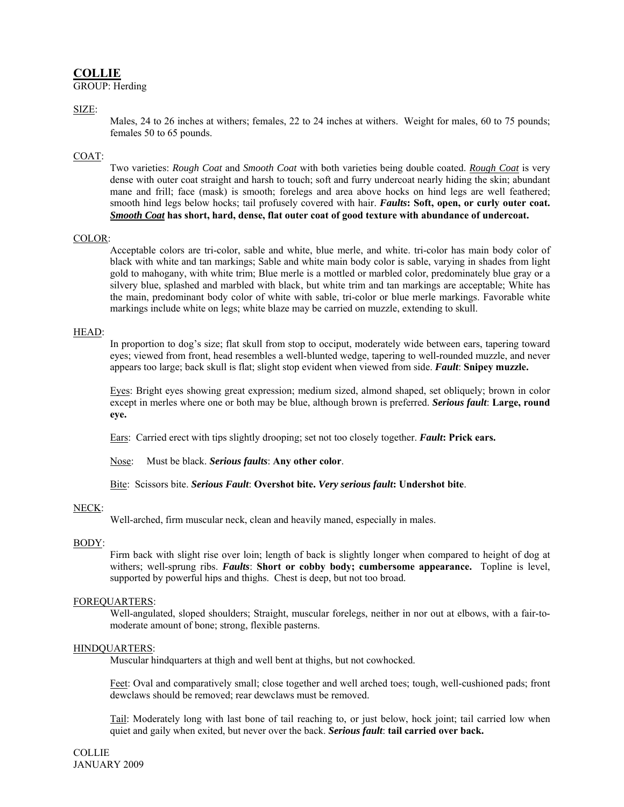# **COLLIE**

GROUP: Herding

## SIZE:

Males, 24 to 26 inches at withers; females, 22 to 24 inches at withers. Weight for males, 60 to 75 pounds; females 50 to 65 pounds.

# COAT:

Two varieties: *Rough Coat* and *Smooth Coat* with both varieties being double coated. *Rough Coat* is very dense with outer coat straight and harsh to touch; soft and furry undercoat nearly hiding the skin; abundant mane and frill; face (mask) is smooth; forelegs and area above hocks on hind legs are well feathered; smooth hind legs below hocks; tail profusely covered with hair. *Faults***: Soft, open, or curly outer coat.**  *Smooth Coat* **has short, hard, dense, flat outer coat of good texture with abundance of undercoat.** 

#### COLOR:

Acceptable colors are tri-color, sable and white, blue merle, and white. tri-color has main body color of black with white and tan markings; Sable and white main body color is sable, varying in shades from light gold to mahogany, with white trim; Blue merle is a mottled or marbled color, predominately blue gray or a silvery blue, splashed and marbled with black, but white trim and tan markings are acceptable; White has the main, predominant body color of white with sable, tri-color or blue merle markings. Favorable white markings include white on legs; white blaze may be carried on muzzle, extending to skull.

#### HEAD:

In proportion to dog's size; flat skull from stop to occiput, moderately wide between ears, tapering toward eyes; viewed from front, head resembles a well-blunted wedge, tapering to well-rounded muzzle, and never appears too large; back skull is flat; slight stop evident when viewed from side. *Fault*: **Snipey muzzle.**

Eyes: Bright eyes showing great expression; medium sized, almond shaped, set obliquely; brown in color except in merles where one or both may be blue, although brown is preferred. *Serious fault*: **Large, round eye.**

Ears: Carried erect with tips slightly drooping; set not too closely together. *Fault***: Prick ears.** 

Nose: Must be black. *Serious faults*: **Any other color**.

Bite: Scissors bite. *Serious Fault*: **Overshot bite.** *Very serious fault***: Undershot bite**.

#### NECK:

Well-arched, firm muscular neck, clean and heavily maned, especially in males.

#### BODY:

Firm back with slight rise over loin; length of back is slightly longer when compared to height of dog at withers; well-sprung ribs. *Faults*: **Short or cobby body; cumbersome appearance.** Topline is level, supported by powerful hips and thighs. Chest is deep, but not too broad.

#### FOREQUARTERS:

Well-angulated, sloped shoulders; Straight, muscular forelegs, neither in nor out at elbows, with a fair-tomoderate amount of bone; strong, flexible pasterns.

#### HINDQUARTERS:

Muscular hindquarters at thigh and well bent at thighs, but not cowhocked.

Feet: Oval and comparatively small; close together and well arched toes; tough, well-cushioned pads; front dewclaws should be removed; rear dewclaws must be removed.

Tail: Moderately long with last bone of tail reaching to, or just below, hock joint; tail carried low when quiet and gaily when exited, but never over the back. *Serious fault*: **tail carried over back.** 

COLLIE JANUARY 2009